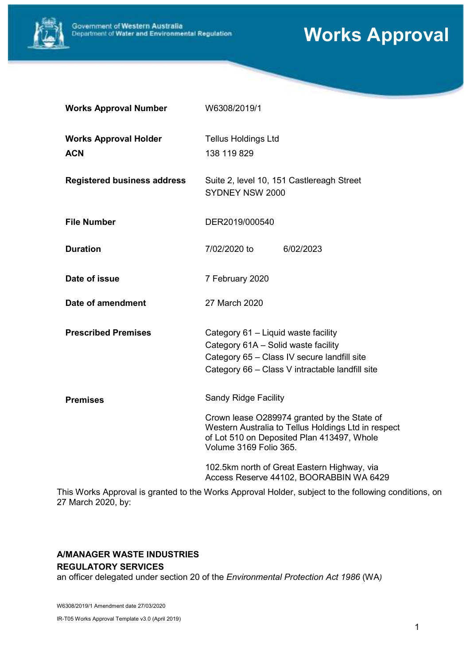

# Works Approval

| <b>Works Approval Number</b>               | W6308/2019/1                                                                                                                                                                      |  |
|--------------------------------------------|-----------------------------------------------------------------------------------------------------------------------------------------------------------------------------------|--|
| <b>Works Approval Holder</b><br><b>ACN</b> | <b>Tellus Holdings Ltd</b><br>138 119 829                                                                                                                                         |  |
| <b>Registered business address</b>         | Suite 2, level 10, 151 Castlereagh Street<br>SYDNEY NSW 2000                                                                                                                      |  |
| <b>File Number</b>                         | DER2019/000540                                                                                                                                                                    |  |
| <b>Duration</b>                            | 7/02/2020 to<br>6/02/2023                                                                                                                                                         |  |
| Date of issue                              | 7 February 2020                                                                                                                                                                   |  |
| Date of amendment                          | 27 March 2020                                                                                                                                                                     |  |
| <b>Prescribed Premises</b>                 | Category 61 - Liquid waste facility<br>Category 61A - Solid waste facility<br>Category 65 - Class IV secure landfill site<br>Category 66 - Class V intractable landfill site      |  |
| <b>Premises</b>                            | <b>Sandy Ridge Facility</b>                                                                                                                                                       |  |
|                                            | Crown lease O289974 granted by the State of<br>Western Australia to Tellus Holdings Ltd in respect<br>of Lot 510 on Deposited Plan 413497, Whole<br><b>Volume 3169 Folio 365.</b> |  |
|                                            | 102.5km north of Great Eastern Highway, via<br>Access Reserve 44102, BOORABBIN WA 6429                                                                                            |  |

This Works Approval is granted to the Works Approval Holder, subject to the following conditions, on 27 March 2020, by:

#### A/MANAGER WASTE INDUSTRIES REGULATORY SERVICES

an officer delegated under section 20 of the Environmental Protection Act 1986 (WA)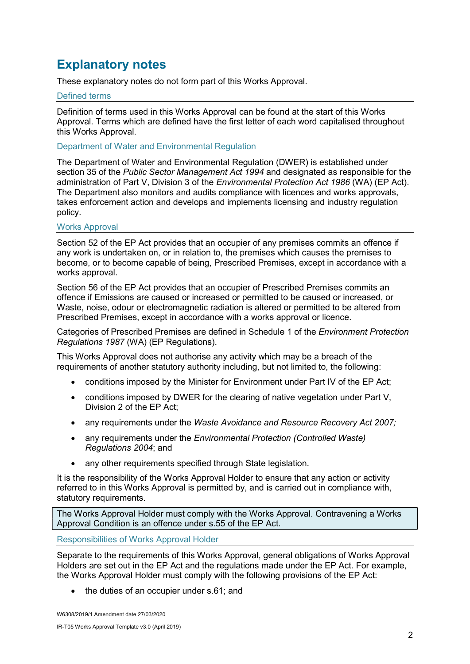## Explanatory notes

These explanatory notes do not form part of this Works Approval.

#### Defined terms

Definition of terms used in this Works Approval can be found at the start of this Works Approval. Terms which are defined have the first letter of each word capitalised throughout this Works Approval.

Department of Water and Environmental Regulation

The Department of Water and Environmental Regulation (DWER) is established under section 35 of the Public Sector Management Act 1994 and designated as responsible for the administration of Part V, Division 3 of the Environmental Protection Act 1986 (WA) (EP Act). The Department also monitors and audits compliance with licences and works approvals, takes enforcement action and develops and implements licensing and industry regulation policy.

#### Works Approval

Section 52 of the EP Act provides that an occupier of any premises commits an offence if any work is undertaken on, or in relation to, the premises which causes the premises to become, or to become capable of being, Prescribed Premises, except in accordance with a works approval.

Section 56 of the EP Act provides that an occupier of Prescribed Premises commits an offence if Emissions are caused or increased or permitted to be caused or increased, or Waste, noise, odour or electromagnetic radiation is altered or permitted to be altered from Prescribed Premises, except in accordance with a works approval or licence.

Categories of Prescribed Premises are defined in Schedule 1 of the Environment Protection Regulations 1987 (WA) (EP Regulations).

This Works Approval does not authorise any activity which may be a breach of the requirements of another statutory authority including, but not limited to, the following:

- conditions imposed by the Minister for Environment under Part IV of the EP Act;
- conditions imposed by DWER for the clearing of native vegetation under Part V, Division 2 of the EP Act;
- any requirements under the Waste Avoidance and Resource Recovery Act 2007;
- any requirements under the *Environmental Protection (Controlled Waste)* Regulations 2004; and
- any other requirements specified through State legislation.

It is the responsibility of the Works Approval Holder to ensure that any action or activity referred to in this Works Approval is permitted by, and is carried out in compliance with, statutory requirements.

The Works Approval Holder must comply with the Works Approval. Contravening a Works Approval Condition is an offence under s.55 of the EP Act.

Responsibilities of Works Approval Holder

Separate to the requirements of this Works Approval, general obligations of Works Approval Holders are set out in the EP Act and the regulations made under the EP Act. For example, the Works Approval Holder must comply with the following provisions of the EP Act:

the duties of an occupier under s.61; and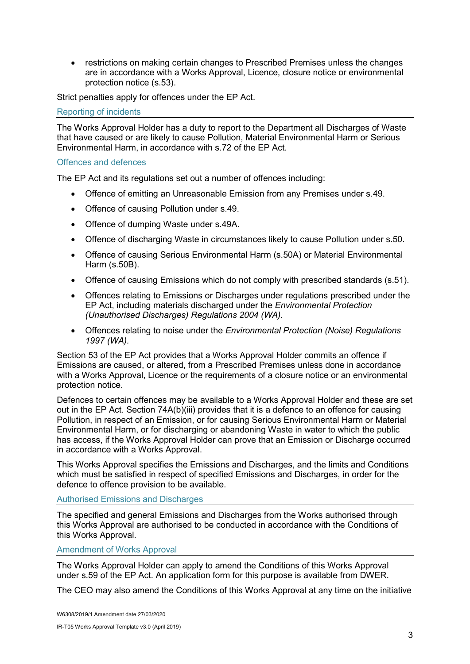• restrictions on making certain changes to Prescribed Premises unless the changes are in accordance with a Works Approval, Licence, closure notice or environmental protection notice (s.53).

Strict penalties apply for offences under the EP Act.

Reporting of incidents

The Works Approval Holder has a duty to report to the Department all Discharges of Waste that have caused or are likely to cause Pollution, Material Environmental Harm or Serious Environmental Harm, in accordance with s.72 of the EP Act.

#### Offences and defences

The EP Act and its regulations set out a number of offences including:

- Offence of emitting an Unreasonable Emission from any Premises under s.49.
- Offence of causing Pollution under s.49.
- Offence of dumping Waste under s.49A.
- Offence of discharging Waste in circumstances likely to cause Pollution under s.50.
- Offence of causing Serious Environmental Harm (s.50A) or Material Environmental Harm (s.50B).
- Offence of causing Emissions which do not comply with prescribed standards (s.51).
- Offences relating to Emissions or Discharges under regulations prescribed under the EP Act, including materials discharged under the Environmental Protection (Unauthorised Discharges) Regulations 2004 (WA).
- Offences relating to noise under the *Environmental Protection (Noise) Regulations* 1997 (WA).

Section 53 of the EP Act provides that a Works Approval Holder commits an offence if Emissions are caused, or altered, from a Prescribed Premises unless done in accordance with a Works Approval, Licence or the requirements of a closure notice or an environmental protection notice.

Defences to certain offences may be available to a Works Approval Holder and these are set out in the EP Act. Section 74A(b)(iii) provides that it is a defence to an offence for causing Pollution, in respect of an Emission, or for causing Serious Environmental Harm or Material Environmental Harm, or for discharging or abandoning Waste in water to which the public has access, if the Works Approval Holder can prove that an Emission or Discharge occurred in accordance with a Works Approval.

This Works Approval specifies the Emissions and Discharges, and the limits and Conditions which must be satisfied in respect of specified Emissions and Discharges, in order for the defence to offence provision to be available.

#### Authorised Emissions and Discharges

The specified and general Emissions and Discharges from the Works authorised through this Works Approval are authorised to be conducted in accordance with the Conditions of this Works Approval.

#### Amendment of Works Approval

The Works Approval Holder can apply to amend the Conditions of this Works Approval under s.59 of the EP Act. An application form for this purpose is available from DWER.

The CEO may also amend the Conditions of this Works Approval at any time on the initiative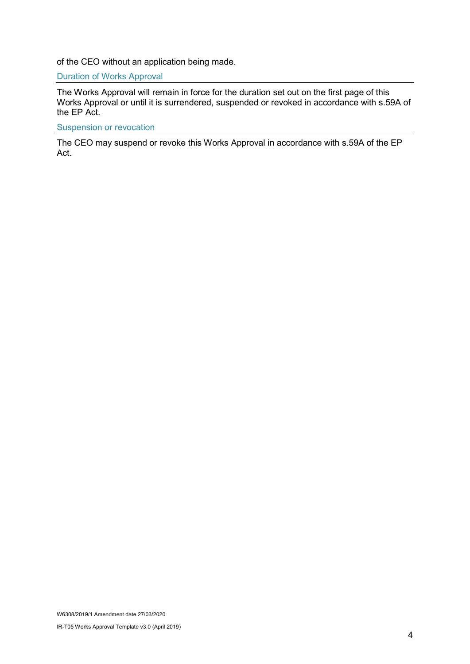of the CEO without an application being made.

Duration of Works Approval

The Works Approval will remain in force for the duration set out on the first page of this Works Approval or until it is surrendered, suspended or revoked in accordance with s.59A of the EP Act.

#### Suspension or revocation

The CEO may suspend or revoke this Works Approval in accordance with s.59A of the EP Act.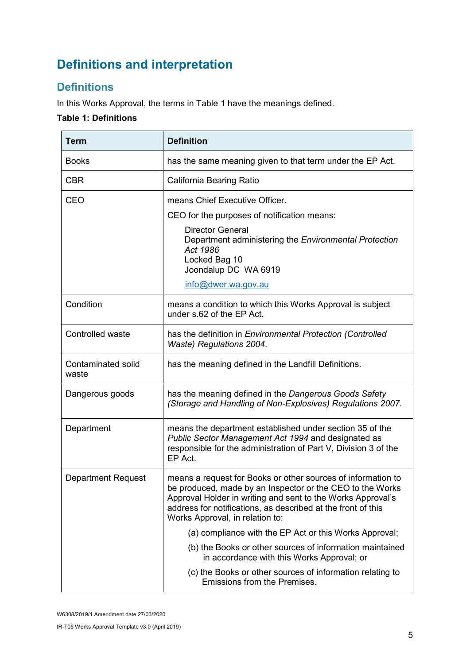## Definitions and interpretation

## **Definitions**

In this Works Approval, the terms in Table 1 have the meanings defined.

### Table 1: Definitions

| <b>Term</b>                        | <b>Definition</b>                                                                                                                                                                                                                                                                           |  |
|------------------------------------|---------------------------------------------------------------------------------------------------------------------------------------------------------------------------------------------------------------------------------------------------------------------------------------------|--|
| <b>Books</b>                       | has the same meaning given to that term under the EP Act.                                                                                                                                                                                                                                   |  |
| <b>CBR</b>                         | California Bearing Ratio                                                                                                                                                                                                                                                                    |  |
| <b>CEO</b>                         | means Chief Executive Officer.                                                                                                                                                                                                                                                              |  |
|                                    | CEO for the purposes of notification means:                                                                                                                                                                                                                                                 |  |
|                                    | <b>Director General</b><br>Department administering the Environmental Protection<br>Act 1986<br>Locked Bag 10<br>Joondalup DC WA 6919                                                                                                                                                       |  |
|                                    | info@dwer.wa.gov.au                                                                                                                                                                                                                                                                         |  |
| Condition                          | means a condition to which this Works Approval is subject<br>under s.62 of the EP Act.                                                                                                                                                                                                      |  |
| Controlled waste                   | has the definition in Environmental Protection (Controlled<br>Waste) Regulations 2004.                                                                                                                                                                                                      |  |
| <b>Contaminated solid</b><br>waste | has the meaning defined in the Landfill Definitions.                                                                                                                                                                                                                                        |  |
| Dangerous goods                    | has the meaning defined in the Dangerous Goods Safety<br>(Storage and Handling of Non-Explosives) Regulations 2007.                                                                                                                                                                         |  |
| Department                         | means the department established under section 35 of the<br>Public Sector Management Act 1994 and designated as<br>responsible for the administration of Part V, Division 3 of the<br>EP Act.                                                                                               |  |
| <b>Department Request</b>          | means a request for Books or other sources of information to<br>be produced, made by an Inspector or the CEO to the Works<br>Approval Holder in writing and sent to the Works Approval's<br>address for notifications, as described at the front of this<br>Works Approval, in relation to: |  |
|                                    | (a) compliance with the EP Act or this Works Approval;                                                                                                                                                                                                                                      |  |
|                                    | (b) the Books or other sources of information maintained<br>in accordance with this Works Approval; or                                                                                                                                                                                      |  |
|                                    | (c) the Books or other sources of information relating to<br>Emissions from the Premises.                                                                                                                                                                                                   |  |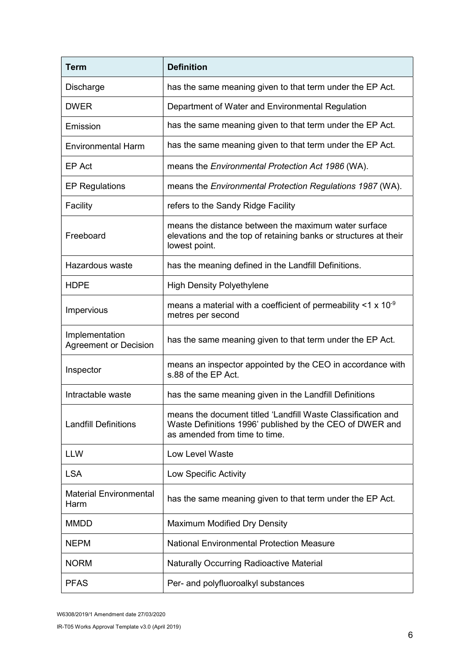| <b>Term</b>                                    | <b>Definition</b>                                                                                                                                         |  |
|------------------------------------------------|-----------------------------------------------------------------------------------------------------------------------------------------------------------|--|
| Discharge                                      | has the same meaning given to that term under the EP Act.                                                                                                 |  |
| <b>DWER</b>                                    | Department of Water and Environmental Regulation                                                                                                          |  |
| Emission                                       | has the same meaning given to that term under the EP Act.                                                                                                 |  |
| <b>Environmental Harm</b>                      | has the same meaning given to that term under the EP Act.                                                                                                 |  |
| EP Act                                         | means the <i>Environmental Protection Act 1986</i> (WA).                                                                                                  |  |
| <b>EP Regulations</b>                          | means the Environmental Protection Regulations 1987 (WA).                                                                                                 |  |
| Facility                                       | refers to the Sandy Ridge Facility                                                                                                                        |  |
| Freeboard                                      | means the distance between the maximum water surface<br>elevations and the top of retaining banks or structures at their<br>lowest point.                 |  |
| Hazardous waste                                | has the meaning defined in the Landfill Definitions.                                                                                                      |  |
| <b>HDPE</b>                                    | <b>High Density Polyethylene</b>                                                                                                                          |  |
| Impervious                                     | means a material with a coefficient of permeability $\leq 1 \times 10^{-9}$<br>metres per second                                                          |  |
| Implementation<br><b>Agreement or Decision</b> | has the same meaning given to that term under the EP Act.                                                                                                 |  |
| Inspector                                      | means an inspector appointed by the CEO in accordance with<br>s.88 of the EP Act.                                                                         |  |
| Intractable waste                              | has the same meaning given in the Landfill Definitions                                                                                                    |  |
| <b>Landfill Definitions</b>                    | means the document titled 'Landfill Waste Classification and<br>Waste Definitions 1996' published by the CEO of DWER and<br>as amended from time to time. |  |
| <b>LLW</b>                                     | <b>Low Level Waste</b>                                                                                                                                    |  |
| <b>LSA</b>                                     | Low Specific Activity                                                                                                                                     |  |
| <b>Material Environmental</b><br>Harm          | has the same meaning given to that term under the EP Act.                                                                                                 |  |
| <b>MMDD</b>                                    | Maximum Modified Dry Density                                                                                                                              |  |
| <b>NEPM</b>                                    | <b>National Environmental Protection Measure</b>                                                                                                          |  |
| <b>NORM</b>                                    | <b>Naturally Occurring Radioactive Material</b>                                                                                                           |  |
| <b>PFAS</b>                                    | Per- and polyfluoroalkyl substances                                                                                                                       |  |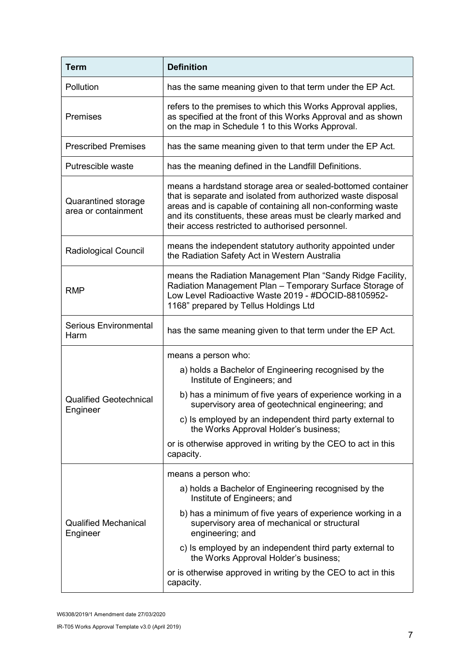| <b>Term</b>                                | <b>Definition</b>                                                                                                                                                                                                                                                                                              |  |  |
|--------------------------------------------|----------------------------------------------------------------------------------------------------------------------------------------------------------------------------------------------------------------------------------------------------------------------------------------------------------------|--|--|
| Pollution                                  | has the same meaning given to that term under the EP Act.                                                                                                                                                                                                                                                      |  |  |
| Premises                                   | refers to the premises to which this Works Approval applies,<br>as specified at the front of this Works Approval and as shown<br>on the map in Schedule 1 to this Works Approval.                                                                                                                              |  |  |
| <b>Prescribed Premises</b>                 | has the same meaning given to that term under the EP Act.                                                                                                                                                                                                                                                      |  |  |
| Putrescible waste                          | has the meaning defined in the Landfill Definitions.                                                                                                                                                                                                                                                           |  |  |
| Quarantined storage<br>area or containment | means a hardstand storage area or sealed-bottomed container<br>that is separate and isolated from authorized waste disposal<br>areas and is capable of containing all non-conforming waste<br>and its constituents, these areas must be clearly marked and<br>their access restricted to authorised personnel. |  |  |
| Radiological Council                       | means the independent statutory authority appointed under<br>the Radiation Safety Act in Western Australia                                                                                                                                                                                                     |  |  |
| <b>RMP</b>                                 | means the Radiation Management Plan "Sandy Ridge Facility,<br>Radiation Management Plan - Temporary Surface Storage of<br>Low Level Radioactive Waste 2019 - #DOCID-88105952-<br>1168" prepared by Tellus Holdings Ltd                                                                                         |  |  |
| <b>Serious Environmental</b><br>Harm       | has the same meaning given to that term under the EP Act.                                                                                                                                                                                                                                                      |  |  |
|                                            | means a person who:                                                                                                                                                                                                                                                                                            |  |  |
|                                            | a) holds a Bachelor of Engineering recognised by the<br>Institute of Engineers; and                                                                                                                                                                                                                            |  |  |
| <b>Qualified Geotechnical</b>              | b) has a minimum of five years of experience working in a<br>supervisory area of geotechnical engineering; and                                                                                                                                                                                                 |  |  |
| Engineer                                   | c) Is employed by an independent third party external to<br>the Works Approval Holder's business;                                                                                                                                                                                                              |  |  |
|                                            | or is otherwise approved in writing by the CEO to act in this<br>capacity.                                                                                                                                                                                                                                     |  |  |
|                                            | means a person who:                                                                                                                                                                                                                                                                                            |  |  |
|                                            | a) holds a Bachelor of Engineering recognised by the<br>Institute of Engineers; and                                                                                                                                                                                                                            |  |  |
| <b>Qualified Mechanical</b><br>Engineer    | b) has a minimum of five years of experience working in a<br>supervisory area of mechanical or structural<br>engineering; and                                                                                                                                                                                  |  |  |
|                                            | c) Is employed by an independent third party external to<br>the Works Approval Holder's business;                                                                                                                                                                                                              |  |  |
|                                            | or is otherwise approved in writing by the CEO to act in this<br>capacity.                                                                                                                                                                                                                                     |  |  |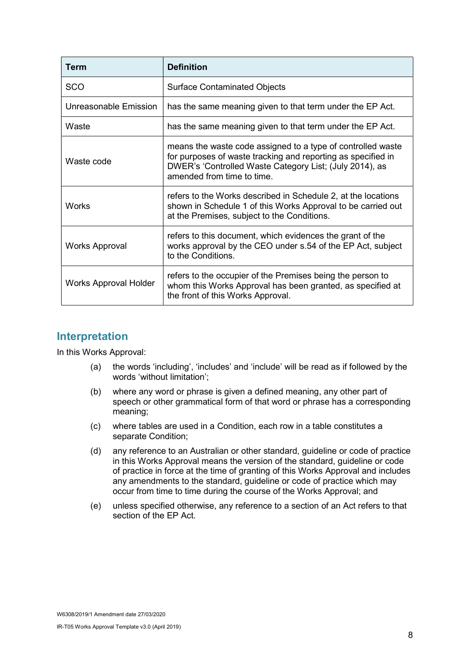| <b>Term</b>                  | <b>Definition</b>                                                                                                                                                                                                    |
|------------------------------|----------------------------------------------------------------------------------------------------------------------------------------------------------------------------------------------------------------------|
| <b>SCO</b>                   | <b>Surface Contaminated Objects</b>                                                                                                                                                                                  |
| Unreasonable Emission        | has the same meaning given to that term under the EP Act.                                                                                                                                                            |
| Waste                        | has the same meaning given to that term under the EP Act.                                                                                                                                                            |
| Waste code                   | means the waste code assigned to a type of controlled waste<br>for purposes of waste tracking and reporting as specified in<br>DWER's 'Controlled Waste Category List; (July 2014), as<br>amended from time to time. |
| <b>Works</b>                 | refers to the Works described in Schedule 2, at the locations<br>shown in Schedule 1 of this Works Approval to be carried out<br>at the Premises, subject to the Conditions.                                         |
| Works Approval               | refers to this document, which evidences the grant of the<br>works approval by the CEO under s.54 of the EP Act, subject<br>to the Conditions.                                                                       |
| <b>Works Approval Holder</b> | refers to the occupier of the Premises being the person to<br>whom this Works Approval has been granted, as specified at<br>the front of this Works Approval.                                                        |

### Interpretation

In this Works Approval:

- (a) the words 'including', 'includes' and 'include' will be read as if followed by the words 'without limitation';
- (b) where any word or phrase is given a defined meaning, any other part of speech or other grammatical form of that word or phrase has a corresponding meaning;
- (c) where tables are used in a Condition, each row in a table constitutes a separate Condition;
- (d) any reference to an Australian or other standard, guideline or code of practice in this Works Approval means the version of the standard, guideline or code of practice in force at the time of granting of this Works Approval and includes any amendments to the standard, guideline or code of practice which may occur from time to time during the course of the Works Approval; and
- (e) unless specified otherwise, any reference to a section of an Act refers to that section of the FP Act.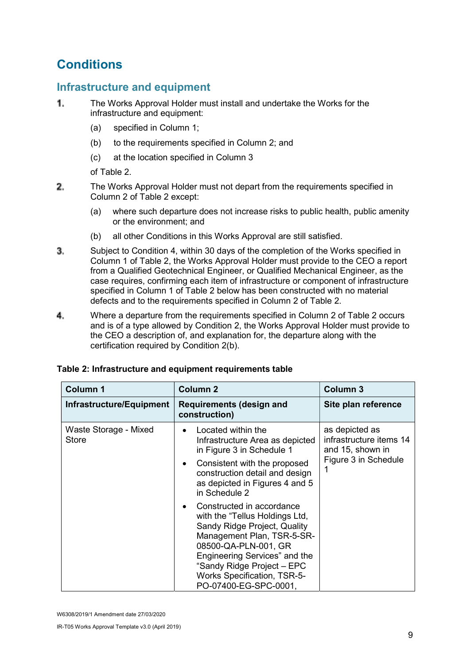## **Conditions**

### Infrastructure and equipment

- Τ. The Works Approval Holder must install and undertake the Works for the infrastructure and equipment:
	- (a) specified in Column 1;
	- (b) to the requirements specified in Column 2; and
	- (c) at the location specified in Column 3

of Table 2.

- $2.$ The Works Approval Holder must not depart from the requirements specified in Column 2 of Table 2 except:
	- (a) where such departure does not increase risks to public health, public amenity or the environment; and
	- (b) all other Conditions in this Works Approval are still satisfied.
- 3. Subject to Condition 4, within 30 days of the completion of the Works specified in Column 1 of Table 2, the Works Approval Holder must provide to the CEO a report from a Qualified Geotechnical Engineer, or Qualified Mechanical Engineer, as the case requires, confirming each item of infrastructure or component of infrastructure specified in Column 1 of Table 2 below has been constructed with no material defects and to the requirements specified in Column 2 of Table 2.
- 4. Where a departure from the requirements specified in Column 2 of Table 2 occurs and is of a type allowed by Condition 2, the Works Approval Holder must provide to the CEO a description of, and explanation for, the departure along with the certification required by Condition 2(b).

| <b>Column 1</b>                       | <b>Column 2</b>                                                                                                                                                                                                                                                                 | <b>Column 3</b>                                                                       |
|---------------------------------------|---------------------------------------------------------------------------------------------------------------------------------------------------------------------------------------------------------------------------------------------------------------------------------|---------------------------------------------------------------------------------------|
| Infrastructure/Equipment              | <b>Requirements (design and</b><br>construction)                                                                                                                                                                                                                                | Site plan reference                                                                   |
| Waste Storage - Mixed<br><b>Store</b> | Located within the<br>Infrastructure Area as depicted<br>in Figure 3 in Schedule 1<br>Consistent with the proposed<br>construction detail and design<br>as depicted in Figures 4 and 5<br>in Schedule 2                                                                         | as depicted as<br>infrastructure items 14<br>and 15, shown in<br>Figure 3 in Schedule |
|                                       | Constructed in accordance<br>with the "Tellus Holdings Ltd,<br>Sandy Ridge Project, Quality<br>Management Plan, TSR-5-SR-<br>08500-QA-PLN-001, GR<br>Engineering Services" and the<br>"Sandy Ridge Project - EPC<br><b>Works Specification, TSR-5-</b><br>PO-07400-EG-SPC-0001, |                                                                                       |

#### Table 2: Infrastructure and equipment requirements table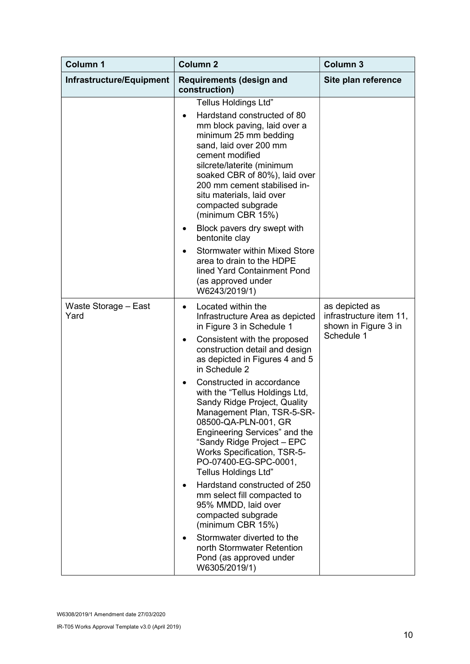| <b>Column 1</b>              | <b>Column 2</b>                                                                                                                                                                                                                                                                                                                                                                                                                                                                                                                                                                                                                                                                                                                                                    | <b>Column 3</b>                                                                 |
|------------------------------|--------------------------------------------------------------------------------------------------------------------------------------------------------------------------------------------------------------------------------------------------------------------------------------------------------------------------------------------------------------------------------------------------------------------------------------------------------------------------------------------------------------------------------------------------------------------------------------------------------------------------------------------------------------------------------------------------------------------------------------------------------------------|---------------------------------------------------------------------------------|
| Infrastructure/Equipment     | <b>Requirements (design and</b><br>construction)                                                                                                                                                                                                                                                                                                                                                                                                                                                                                                                                                                                                                                                                                                                   | Site plan reference                                                             |
|                              | Tellus Holdings Ltd"<br>Hardstand constructed of 80<br>mm block paving, laid over a<br>minimum 25 mm bedding<br>sand, laid over 200 mm<br>cement modified<br>silcrete/laterite (minimum<br>soaked CBR of 80%), laid over<br>200 mm cement stabilised in-<br>situ materials, laid over<br>compacted subgrade<br>(minimum CBR 15%)<br>Block pavers dry swept with<br>bentonite clay<br><b>Stormwater within Mixed Store</b><br>area to drain to the HDPE<br>lined Yard Containment Pond<br>(as approved under<br>W6243/2019/1)                                                                                                                                                                                                                                       |                                                                                 |
| Waste Storage - East<br>Yard | Located within the<br>Infrastructure Area as depicted<br>in Figure 3 in Schedule 1<br>Consistent with the proposed<br>construction detail and design<br>as depicted in Figures 4 and 5<br>in Schedule 2<br>Constructed in accordance<br>with the "Tellus Holdings Ltd,<br>Sandy Ridge Project, Quality<br>Management Plan, TSR-5-SR-<br>08500-QA-PLN-001, GR<br>Engineering Services" and the<br>"Sandy Ridge Project - EPC<br><b>Works Specification, TSR-5-</b><br>PO-07400-EG-SPC-0001,<br><b>Tellus Holdings Ltd"</b><br>Hardstand constructed of 250<br>mm select fill compacted to<br>95% MMDD, laid over<br>compacted subgrade<br>(minimum CBR 15%)<br>Stormwater diverted to the<br>north Stormwater Retention<br>Pond (as approved under<br>W6305/2019/1) | as depicted as<br>infrastructure item 11,<br>shown in Figure 3 in<br>Schedule 1 |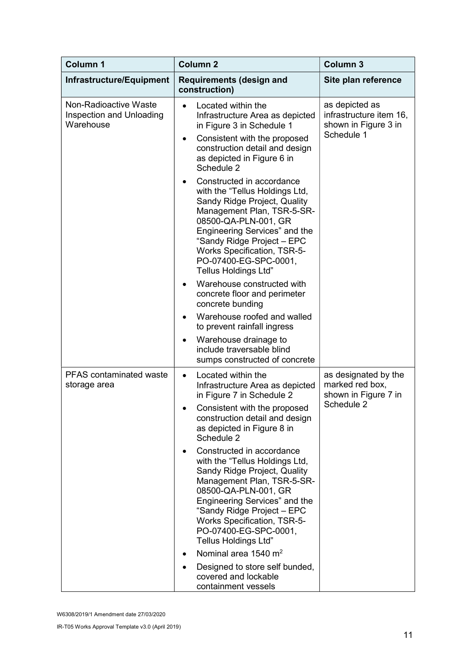| <b>Column 1</b>                                                | <b>Column 2</b>                                                                                                                                                                                                                                                                                                | <b>Column 3</b>                                                   |
|----------------------------------------------------------------|----------------------------------------------------------------------------------------------------------------------------------------------------------------------------------------------------------------------------------------------------------------------------------------------------------------|-------------------------------------------------------------------|
| Infrastructure/Equipment                                       | <b>Requirements (design and</b><br>construction)                                                                                                                                                                                                                                                               | Site plan reference                                               |
| Non-Radioactive Waste<br>Inspection and Unloading<br>Warehouse | Located within the<br>$\bullet$<br>Infrastructure Area as depicted<br>in Figure 3 in Schedule 1                                                                                                                                                                                                                | as depicted as<br>infrastructure item 16,<br>shown in Figure 3 in |
|                                                                | Consistent with the proposed<br>٠<br>construction detail and design<br>as depicted in Figure 6 in<br>Schedule 2                                                                                                                                                                                                | Schedule 1                                                        |
|                                                                | Constructed in accordance<br>with the "Tellus Holdings Ltd,<br>Sandy Ridge Project, Quality<br>Management Plan, TSR-5-SR-<br>08500-QA-PLN-001, GR<br>Engineering Services" and the<br>"Sandy Ridge Project - EPC<br><b>Works Specification, TSR-5-</b><br>PO-07400-EG-SPC-0001,<br><b>Tellus Holdings Ltd"</b> |                                                                   |
|                                                                | Warehouse constructed with<br>concrete floor and perimeter<br>concrete bunding                                                                                                                                                                                                                                 |                                                                   |
|                                                                | Warehouse roofed and walled<br>to prevent rainfall ingress                                                                                                                                                                                                                                                     |                                                                   |
|                                                                | Warehouse drainage to<br>include traversable blind<br>sumps constructed of concrete                                                                                                                                                                                                                            |                                                                   |
| <b>PFAS</b> contaminated waste<br>storage area                 | Located within the<br>$\bullet$<br>Infrastructure Area as depicted<br>in Figure 7 in Schedule 2                                                                                                                                                                                                                | as designated by the<br>marked red box,<br>shown in Figure 7 in   |
|                                                                | Consistent with the proposed<br>construction detail and design<br>as depicted in Figure 8 in<br>Schedule 2                                                                                                                                                                                                     | Schedule 2                                                        |
|                                                                | Constructed in accordance<br>with the "Tellus Holdings Ltd,<br>Sandy Ridge Project, Quality<br>Management Plan, TSR-5-SR-<br>08500-QA-PLN-001, GR<br>Engineering Services" and the<br>"Sandy Ridge Project - EPC<br><b>Works Specification, TSR-5-</b><br>PO-07400-EG-SPC-0001,<br><b>Tellus Holdings Ltd"</b> |                                                                   |
|                                                                | Nominal area 1540 m <sup>2</sup><br>Designed to store self bunded,                                                                                                                                                                                                                                             |                                                                   |
|                                                                | covered and lockable<br>containment vessels                                                                                                                                                                                                                                                                    |                                                                   |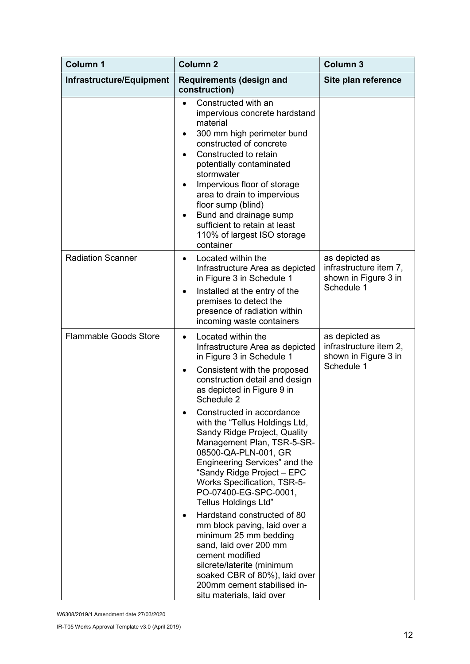| <b>Column 1</b>              | Column <sub>2</sub>                                                                                                                                                                                                                                                                                                                                                                                                                                                                                                                                                                                                                                                                                                                                                                             | <b>Column 3</b>                                                                |
|------------------------------|-------------------------------------------------------------------------------------------------------------------------------------------------------------------------------------------------------------------------------------------------------------------------------------------------------------------------------------------------------------------------------------------------------------------------------------------------------------------------------------------------------------------------------------------------------------------------------------------------------------------------------------------------------------------------------------------------------------------------------------------------------------------------------------------------|--------------------------------------------------------------------------------|
| Infrastructure/Equipment     | <b>Requirements (design and</b><br>construction)                                                                                                                                                                                                                                                                                                                                                                                                                                                                                                                                                                                                                                                                                                                                                | Site plan reference                                                            |
|                              | Constructed with an<br>impervious concrete hardstand<br>material<br>300 mm high perimeter bund<br>٠<br>constructed of concrete<br>Constructed to retain<br>potentially contaminated<br>stormwater<br>Impervious floor of storage<br>area to drain to impervious<br>floor sump (blind)<br>Bund and drainage sump<br>$\bullet$<br>sufficient to retain at least<br>110% of largest ISO storage<br>container                                                                                                                                                                                                                                                                                                                                                                                       |                                                                                |
| <b>Radiation Scanner</b>     | Located within the<br>$\bullet$<br>Infrastructure Area as depicted<br>in Figure 3 in Schedule 1<br>Installed at the entry of the<br>٠<br>premises to detect the<br>presence of radiation within<br>incoming waste containers                                                                                                                                                                                                                                                                                                                                                                                                                                                                                                                                                                    | as depicted as<br>infrastructure item 7,<br>shown in Figure 3 in<br>Schedule 1 |
| <b>Flammable Goods Store</b> | Located within the<br>$\bullet$<br>Infrastructure Area as depicted<br>in Figure 3 in Schedule 1<br>Consistent with the proposed<br>construction detail and design<br>as depicted in Figure 9 in<br>Schedule 2<br>Constructed in accordance<br>with the "Tellus Holdings Ltd,<br>Sandy Ridge Project, Quality<br>Management Plan, TSR-5-SR-<br>08500-QA-PLN-001, GR<br>Engineering Services" and the<br>"Sandy Ridge Project - EPC<br><b>Works Specification, TSR-5-</b><br>PO-07400-EG-SPC-0001,<br><b>Tellus Holdings Ltd"</b><br>Hardstand constructed of 80<br>mm block paving, laid over a<br>minimum 25 mm bedding<br>sand, laid over 200 mm<br>cement modified<br>silcrete/laterite (minimum<br>soaked CBR of 80%), laid over<br>200mm cement stabilised in-<br>situ materials, laid over | as depicted as<br>infrastructure item 2,<br>shown in Figure 3 in<br>Schedule 1 |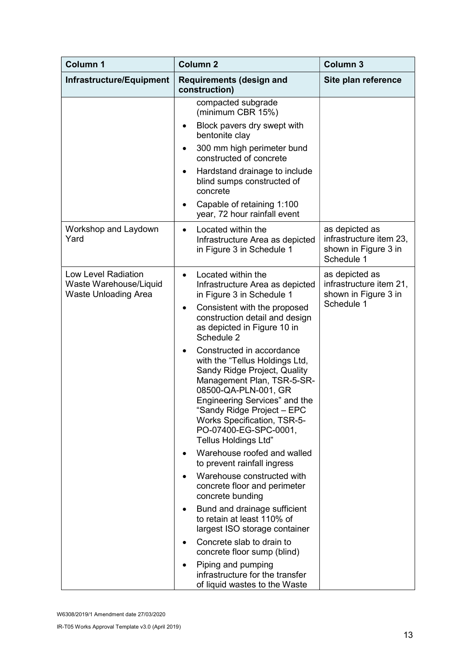| <b>Column 1</b>                                                              | <b>Column 2</b>                                                                                                                                                                                                                                                                                                                                                                                                                                                                                                                                                                                                                                                                                                                                                                                                                                                                                                               | <b>Column 3</b>                                                                 |
|------------------------------------------------------------------------------|-------------------------------------------------------------------------------------------------------------------------------------------------------------------------------------------------------------------------------------------------------------------------------------------------------------------------------------------------------------------------------------------------------------------------------------------------------------------------------------------------------------------------------------------------------------------------------------------------------------------------------------------------------------------------------------------------------------------------------------------------------------------------------------------------------------------------------------------------------------------------------------------------------------------------------|---------------------------------------------------------------------------------|
| Infrastructure/Equipment                                                     | <b>Requirements (design and</b><br>construction)                                                                                                                                                                                                                                                                                                                                                                                                                                                                                                                                                                                                                                                                                                                                                                                                                                                                              | Site plan reference                                                             |
|                                                                              | compacted subgrade<br>(minimum CBR 15%)<br>Block pavers dry swept with<br>٠<br>bentonite clay<br>300 mm high perimeter bund<br>$\bullet$<br>constructed of concrete<br>Hardstand drainage to include<br>٠<br>blind sumps constructed of<br>concrete<br>Capable of retaining 1:100<br>year, 72 hour rainfall event                                                                                                                                                                                                                                                                                                                                                                                                                                                                                                                                                                                                             |                                                                                 |
| Workshop and Laydown<br>Yard                                                 | Located within the<br>$\bullet$<br>Infrastructure Area as depicted<br>in Figure 3 in Schedule 1                                                                                                                                                                                                                                                                                                                                                                                                                                                                                                                                                                                                                                                                                                                                                                                                                               | as depicted as<br>infrastructure item 23,<br>shown in Figure 3 in<br>Schedule 1 |
| Low Level Radiation<br>Waste Warehouse/Liquid<br><b>Waste Unloading Area</b> | Located within the<br>Infrastructure Area as depicted<br>in Figure 3 in Schedule 1<br>Consistent with the proposed<br>٠<br>construction detail and design<br>as depicted in Figure 10 in<br>Schedule 2<br>Constructed in accordance<br>with the "Tellus Holdings Ltd,<br>Sandy Ridge Project, Quality<br>Management Plan, TSR-5-SR-<br>08500-QA-PLN-001, GR<br>Engineering Services" and the<br>"Sandy Ridge Project - EPC<br><b>Works Specification, TSR-5-</b><br>PO-07400-EG-SPC-0001,<br><b>Tellus Holdings Ltd"</b><br>Warehouse roofed and walled<br>to prevent rainfall ingress<br>Warehouse constructed with<br>concrete floor and perimeter<br>concrete bunding<br>Bund and drainage sufficient<br>to retain at least 110% of<br>largest ISO storage container<br>Concrete slab to drain to<br>concrete floor sump (blind)<br>Piping and pumping<br>infrastructure for the transfer<br>of liquid wastes to the Waste | as depicted as<br>infrastructure item 21,<br>shown in Figure 3 in<br>Schedule 1 |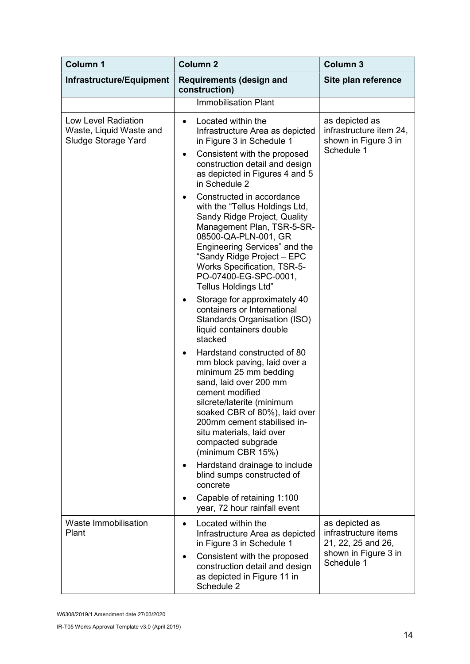| <b>Column 1</b>                                                              | <b>Column 2</b>                                                                                                                                                                                                                                                                                                      | <b>Column 3</b>                                                                                    |
|------------------------------------------------------------------------------|----------------------------------------------------------------------------------------------------------------------------------------------------------------------------------------------------------------------------------------------------------------------------------------------------------------------|----------------------------------------------------------------------------------------------------|
| Infrastructure/Equipment                                                     | <b>Requirements (design and</b><br>construction)                                                                                                                                                                                                                                                                     | Site plan reference                                                                                |
|                                                                              | <b>Immobilisation Plant</b>                                                                                                                                                                                                                                                                                          |                                                                                                    |
| <b>Low Level Radiation</b><br>Waste, Liquid Waste and<br>Sludge Storage Yard | Located within the<br>$\bullet$<br>Infrastructure Area as depicted<br>in Figure 3 in Schedule 1<br>Consistent with the proposed<br>$\bullet$<br>construction detail and design<br>as depicted in Figures 4 and 5<br>in Schedule 2                                                                                    | as depicted as<br>infrastructure item 24,<br>shown in Figure 3 in<br>Schedule 1                    |
|                                                                              | Constructed in accordance<br>with the "Tellus Holdings Ltd,<br>Sandy Ridge Project, Quality<br>Management Plan, TSR-5-SR-<br>08500-QA-PLN-001, GR<br>Engineering Services" and the<br>"Sandy Ridge Project - EPC<br><b>Works Specification, TSR-5-</b><br>PO-07400-EG-SPC-0001,<br><b>Tellus Holdings Ltd"</b>       |                                                                                                    |
|                                                                              | Storage for approximately 40<br>containers or International<br>Standards Organisation (ISO)<br>liquid containers double<br>stacked                                                                                                                                                                                   |                                                                                                    |
|                                                                              | Hardstand constructed of 80<br>$\bullet$<br>mm block paving, laid over a<br>minimum 25 mm bedding<br>sand, laid over 200 mm<br>cement modified<br>silcrete/laterite (minimum<br>soaked CBR of 80%), laid over<br>200mm cement stabilised in-<br>situ materials, laid over<br>compacted subgrade<br>(minimum CBR 15%) |                                                                                                    |
|                                                                              | Hardstand drainage to include<br>blind sumps constructed of<br>concrete                                                                                                                                                                                                                                              |                                                                                                    |
|                                                                              | Capable of retaining 1:100<br>year, 72 hour rainfall event                                                                                                                                                                                                                                                           |                                                                                                    |
| <b>Waste Immobilisation</b><br>Plant                                         | Located within the<br>$\bullet$<br>Infrastructure Area as depicted<br>in Figure 3 in Schedule 1<br>Consistent with the proposed<br>construction detail and design<br>as depicted in Figure 11 in<br>Schedule 2                                                                                                       | as depicted as<br>infrastructure items<br>21, 22, 25 and 26,<br>shown in Figure 3 in<br>Schedule 1 |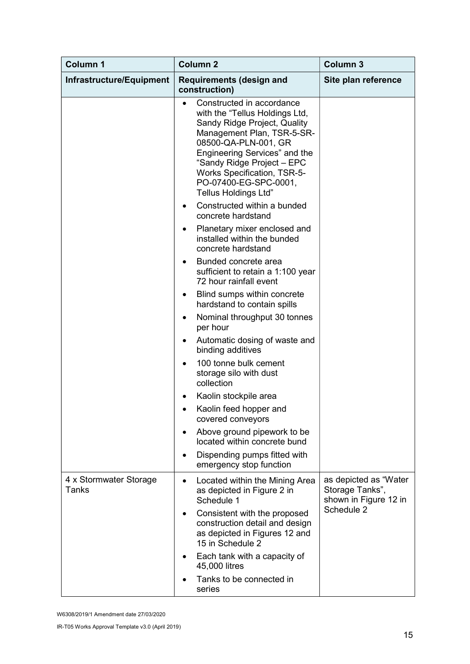| <b>Column 1</b>                 | <b>Column 2</b>                                                                                                                                                                                                                                                                                                | <b>Column 3</b>                                                                 |
|---------------------------------|----------------------------------------------------------------------------------------------------------------------------------------------------------------------------------------------------------------------------------------------------------------------------------------------------------------|---------------------------------------------------------------------------------|
| Infrastructure/Equipment        | <b>Requirements (design and</b><br>construction)                                                                                                                                                                                                                                                               | Site plan reference                                                             |
|                                 | Constructed in accordance<br>with the "Tellus Holdings Ltd,<br>Sandy Ridge Project, Quality<br>Management Plan, TSR-5-SR-<br>08500-QA-PLN-001, GR<br>Engineering Services" and the<br>"Sandy Ridge Project - EPC<br><b>Works Specification, TSR-5-</b><br>PO-07400-EG-SPC-0001,<br><b>Tellus Holdings Ltd"</b> |                                                                                 |
|                                 | Constructed within a bunded<br>concrete hardstand                                                                                                                                                                                                                                                              |                                                                                 |
|                                 | Planetary mixer enclosed and<br>٠<br>installed within the bunded<br>concrete hardstand                                                                                                                                                                                                                         |                                                                                 |
|                                 | Bunded concrete area<br>sufficient to retain a 1:100 year<br>72 hour rainfall event                                                                                                                                                                                                                            |                                                                                 |
|                                 | Blind sumps within concrete<br>٠<br>hardstand to contain spills                                                                                                                                                                                                                                                |                                                                                 |
|                                 | Nominal throughput 30 tonnes<br>٠<br>per hour                                                                                                                                                                                                                                                                  |                                                                                 |
|                                 | Automatic dosing of waste and<br>٠<br>binding additives                                                                                                                                                                                                                                                        |                                                                                 |
|                                 | 100 tonne bulk cement<br>storage silo with dust<br>collection                                                                                                                                                                                                                                                  |                                                                                 |
|                                 | Kaolin stockpile area                                                                                                                                                                                                                                                                                          |                                                                                 |
|                                 | Kaolin feed hopper and<br>covered conveyors                                                                                                                                                                                                                                                                    |                                                                                 |
|                                 | Above ground pipework to be<br>located within concrete bund                                                                                                                                                                                                                                                    |                                                                                 |
|                                 | Dispending pumps fitted with<br>emergency stop function                                                                                                                                                                                                                                                        |                                                                                 |
| 4 x Stormwater Storage<br>Tanks | Located within the Mining Area<br>$\bullet$<br>as depicted in Figure 2 in<br>Schedule 1<br>Consistent with the proposed<br>construction detail and design<br>as depicted in Figures 12 and<br>15 in Schedule 2                                                                                                 | as depicted as "Water<br>Storage Tanks",<br>shown in Figure 12 in<br>Schedule 2 |
|                                 | Each tank with a capacity of<br>45,000 litres                                                                                                                                                                                                                                                                  |                                                                                 |
|                                 | Tanks to be connected in<br>series                                                                                                                                                                                                                                                                             |                                                                                 |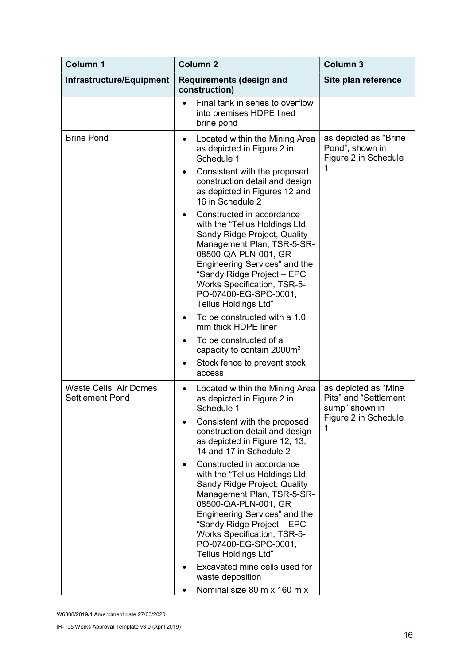| <b>Column 1</b>                                  | <b>Column 2</b>                                                                                                                                                                                                                                                                                                                                 | <b>Column 3</b>                                                                              |
|--------------------------------------------------|-------------------------------------------------------------------------------------------------------------------------------------------------------------------------------------------------------------------------------------------------------------------------------------------------------------------------------------------------|----------------------------------------------------------------------------------------------|
| Infrastructure/Equipment                         | <b>Requirements (design and</b><br>construction)                                                                                                                                                                                                                                                                                                | Site plan reference                                                                          |
|                                                  | Final tank in series to overflow<br>into premises HDPE lined<br>brine pond                                                                                                                                                                                                                                                                      |                                                                                              |
| <b>Brine Pond</b>                                | Located within the Mining Area<br>$\bullet$<br>as depicted in Figure 2 in<br>Schedule 1                                                                                                                                                                                                                                                         | as depicted as "Brine<br>Pond", shown in<br>Figure 2 in Schedule                             |
|                                                  | Consistent with the proposed<br>٠<br>construction detail and design<br>as depicted in Figures 12 and<br>16 in Schedule 2                                                                                                                                                                                                                        | 1                                                                                            |
|                                                  | Constructed in accordance<br>with the "Tellus Holdings Ltd,<br>Sandy Ridge Project, Quality<br>Management Plan, TSR-5-SR-<br>08500-QA-PLN-001, GR<br>Engineering Services" and the<br>"Sandy Ridge Project - EPC<br><b>Works Specification, TSR-5-</b><br>PO-07400-EG-SPC-0001,<br><b>Tellus Holdings Ltd"</b>                                  |                                                                                              |
|                                                  | To be constructed with a 1.0<br>mm thick HDPE liner                                                                                                                                                                                                                                                                                             |                                                                                              |
|                                                  | To be constructed of a<br>capacity to contain 2000 $m3$                                                                                                                                                                                                                                                                                         |                                                                                              |
|                                                  | Stock fence to prevent stock<br>access                                                                                                                                                                                                                                                                                                          |                                                                                              |
| Waste Cells, Air Domes<br><b>Settlement Pond</b> | Located within the Mining Area<br>$\bullet$<br>as depicted in Figure 2 in<br>Schedule 1.<br>Consistent with the proposed<br>construction detail and design<br>as depicted in Figure 12, 13,<br>14 and 17 in Schedule 2                                                                                                                          | as depicted as "Mine<br>Pits" and "Settlement<br>sump" shown in<br>Figure 2 in Schedule<br>1 |
|                                                  | Constructed in accordance<br>with the "Tellus Holdings Ltd,<br>Sandy Ridge Project, Quality<br>Management Plan, TSR-5-SR-<br>08500-QA-PLN-001, GR<br>Engineering Services" and the<br>"Sandy Ridge Project - EPC<br><b>Works Specification, TSR-5-</b><br>PO-07400-EG-SPC-0001,<br><b>Tellus Holdings Ltd"</b><br>Excavated mine cells used for |                                                                                              |
|                                                  | waste deposition<br>Nominal size 80 m x 160 m x                                                                                                                                                                                                                                                                                                 |                                                                                              |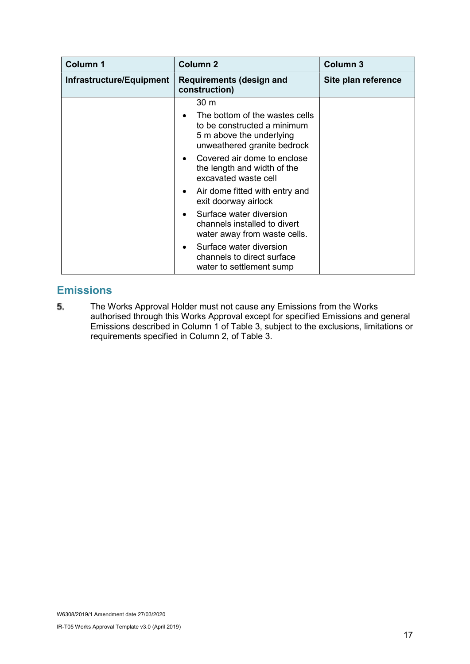| <b>Column 1</b>          | <b>Column 2</b>                                                                         | <b>Column 3</b>     |
|--------------------------|-----------------------------------------------------------------------------------------|---------------------|
| Infrastructure/Equipment | <b>Requirements (design and</b><br>construction)                                        | Site plan reference |
|                          | 30 m<br>The bottom of the wastes cells                                                  |                     |
|                          | to be constructed a minimum<br>5 m above the underlying<br>unweathered granite bedrock  |                     |
|                          | Covered air dome to enclose<br>the length and width of the<br>excavated waste cell      |                     |
|                          | Air dome fitted with entry and<br>$\bullet$<br>exit doorway airlock                     |                     |
|                          | Surface water diversion<br>channels installed to divert<br>water away from waste cells. |                     |
|                          | Surface water diversion<br>channels to direct surface<br>water to settlement sump       |                     |

### **Emissions**

5. The Works Approval Holder must not cause any Emissions from the Works authorised through this Works Approval except for specified Emissions and general Emissions described in Column 1 of Table 3, subject to the exclusions, limitations or requirements specified in Column 2, of Table 3.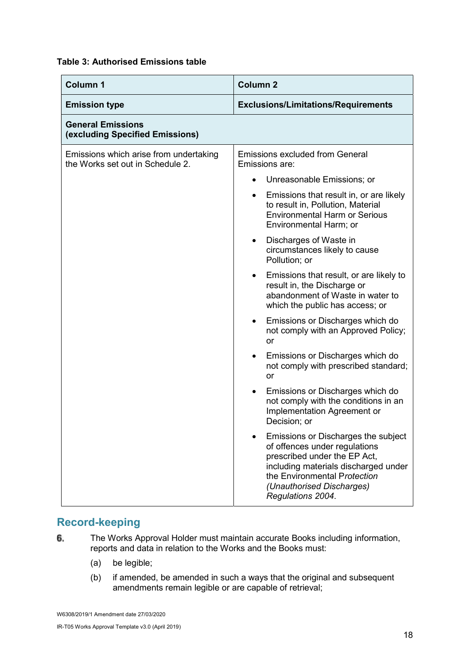#### Table 3: Authorised Emissions table

| <b>Column 1</b>                                                            | <b>Column 2</b>                                                                                                                                                                                                                |
|----------------------------------------------------------------------------|--------------------------------------------------------------------------------------------------------------------------------------------------------------------------------------------------------------------------------|
| <b>Emission type</b>                                                       | <b>Exclusions/Limitations/Requirements</b>                                                                                                                                                                                     |
| <b>General Emissions</b><br>(excluding Specified Emissions)                |                                                                                                                                                                                                                                |
| Emissions which arise from undertaking<br>the Works set out in Schedule 2. | <b>Emissions excluded from General</b><br>Emissions are:                                                                                                                                                                       |
|                                                                            | Unreasonable Emissions; or<br>$\bullet$                                                                                                                                                                                        |
|                                                                            | Emissions that result in, or are likely<br>$\bullet$<br>to result in, Pollution, Material<br><b>Environmental Harm or Serious</b><br>Environmental Harm; or                                                                    |
|                                                                            | Discharges of Waste in<br>circumstances likely to cause<br>Pollution; or                                                                                                                                                       |
|                                                                            | Emissions that result, or are likely to<br>result in, the Discharge or<br>abandonment of Waste in water to<br>which the public has access; or                                                                                  |
|                                                                            | Emissions or Discharges which do<br>$\bullet$<br>not comply with an Approved Policy;<br><b>or</b>                                                                                                                              |
|                                                                            | Emissions or Discharges which do<br>not comply with prescribed standard;<br>or                                                                                                                                                 |
|                                                                            | Emissions or Discharges which do<br>$\bullet$<br>not comply with the conditions in an<br>Implementation Agreement or<br>Decision; or                                                                                           |
|                                                                            | Emissions or Discharges the subject<br>of offences under regulations<br>prescribed under the EP Act,<br>including materials discharged under<br>the Environmental Protection<br>(Unauthorised Discharges)<br>Regulations 2004. |

### Record-keeping

- The Works Approval Holder must maintain accurate Books including information, 6. reports and data in relation to the Works and the Books must:
	- (a) be legible;
	- (b) if amended, be amended in such a ways that the original and subsequent amendments remain legible or are capable of retrieval;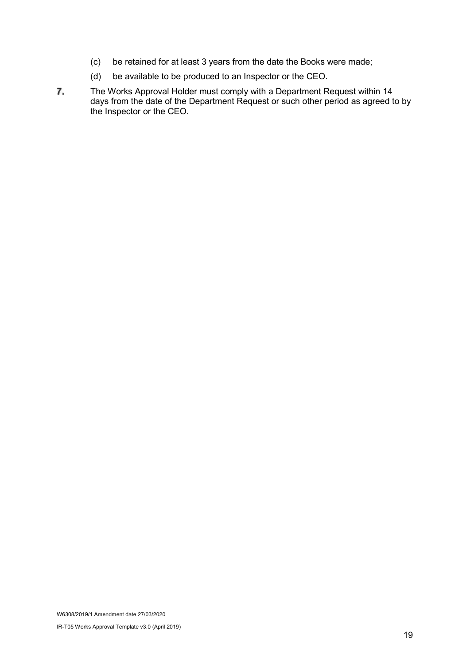- (c) be retained for at least 3 years from the date the Books were made;
- (d) be available to be produced to an Inspector or the CEO.
- $7.$ The Works Approval Holder must comply with a Department Request within 14 days from the date of the Department Request or such other period as agreed to by the Inspector or the CEO.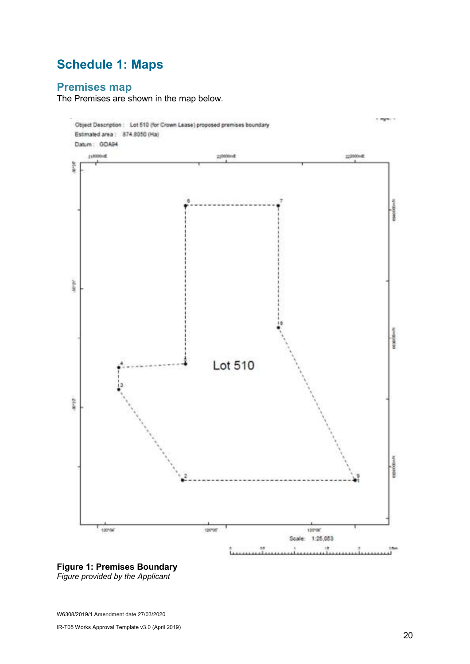## Schedule 1: Maps

## Premises map

The Premises are shown in the map below.





W6308/2019/1 Amendment date 27/03/2020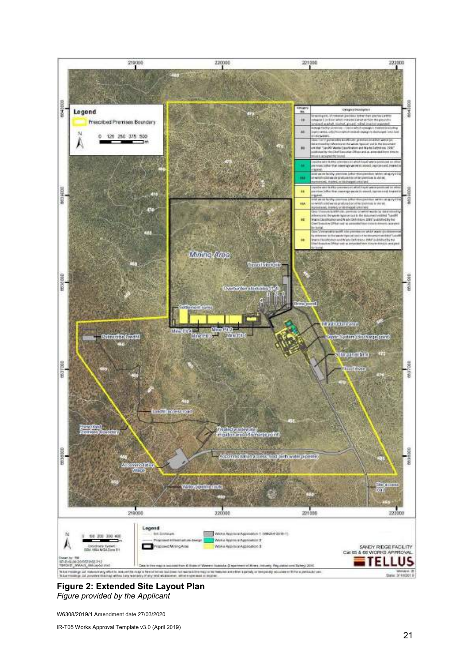

#### Figure 2: Extended Site Layout Plan Figure provided by the Applicant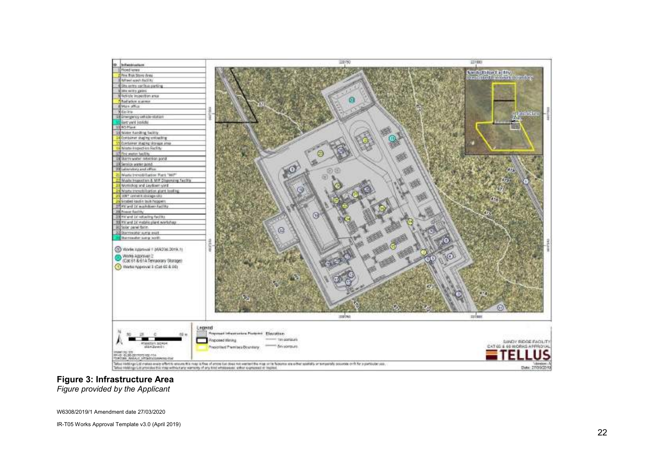

## Figure 3: Infrastructure Area

Figure provided by the Applicant

W6308/2019/1 Amendment date 27/03/2020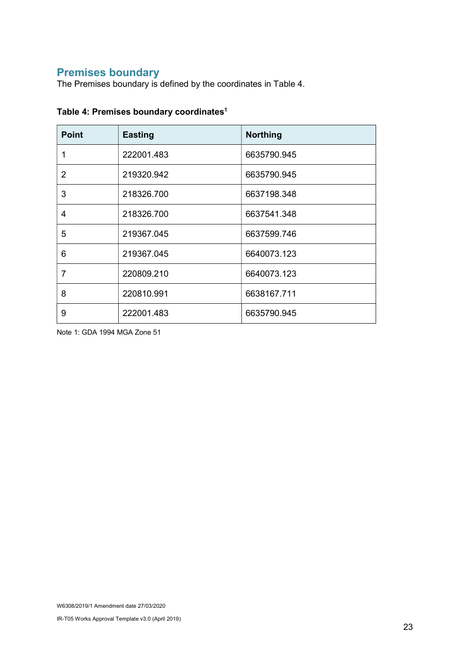## Premises boundary

The Premises boundary is defined by the coordinates in Table 4.

| <b>Point</b> | <b>Easting</b> | <b>Northing</b> |
|--------------|----------------|-----------------|
| 1            | 222001.483     | 6635790.945     |
| 2            | 219320.942     | 6635790.945     |
| 3            | 218326.700     | 6637198.348     |
| 4            | 218326.700     | 6637541.348     |
| 5            | 219367.045     | 6637599.746     |
| 6            | 219367.045     | 6640073.123     |
| 7            | 220809.210     | 6640073.123     |
| 8            | 220810.991     | 6638167.711     |
| 9            | 222001.483     | 6635790.945     |

#### Table 4: Premises boundary coordinates<sup>1</sup>

Note 1: GDA 1994 MGA Zone 51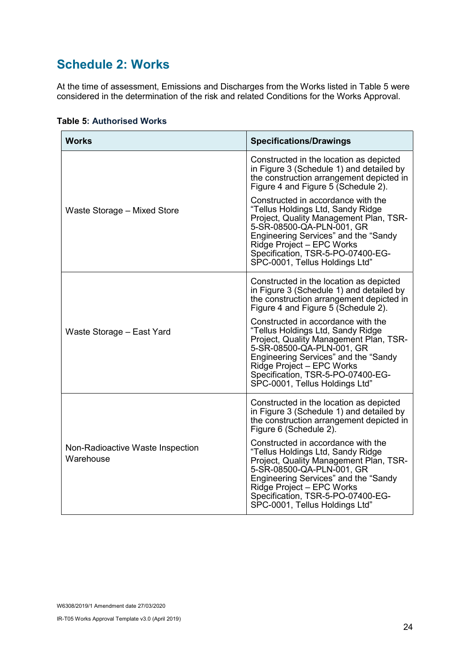## Schedule 2: Works

At the time of assessment, Emissions and Discharges from the Works listed in Table 5 were considered in the determination of the risk and related Conditions for the Works Approval.

| <b>Works</b>                                  | <b>Specifications/Drawings</b>                                                                                                                                                                                                                                                             |
|-----------------------------------------------|--------------------------------------------------------------------------------------------------------------------------------------------------------------------------------------------------------------------------------------------------------------------------------------------|
| Waste Storage - Mixed Store                   | Constructed in the location as depicted<br>in Figure 3 (Schedule 1) and detailed by<br>the construction arrangement depicted in<br>Figure 4 and Figure 5 (Schedule 2).                                                                                                                     |
|                                               | Constructed in accordance with the<br>"Tellus Holdings Ltd, Sandy Ridge<br>Project, Quality Management Plan, TSR-<br>5-SR-08500-QA-PLN-001, GR<br>Engineering Services" and the "Sandy<br>Ridge Project - EPC Works<br>Specification, TSR-5-PO-07400-EG-<br>SPC-0001, Tellus Holdings Ltd" |
| Waste Storage - East Yard                     | Constructed in the location as depicted<br>in Figure 3 (Schedule 1) and detailed by<br>the construction arrangement depicted in<br>Figure 4 and Figure 5 (Schedule 2).                                                                                                                     |
|                                               | Constructed in accordance with the<br>"Tellus Holdings Ltd, Sandy Ridge<br>Project, Quality Management Plan, TSR-<br>5-SR-08500-QA-PLN-001, GR<br>Engineering Services" and the "Sandy<br>Ridge Project - EPC Works<br>Specification, TSR-5-PO-07400-EG-<br>SPC-0001, Tellus Holdings Ltd" |
| Non-Radioactive Waste Inspection<br>Warehouse | Constructed in the location as depicted<br>in Figure 3 (Schedule 1) and detailed by<br>the construction arrangement depicted in<br>Figure 6 (Schedule 2).                                                                                                                                  |
|                                               | Constructed in accordance with the<br>"Tellus Holdings Ltd, Sandy Ridge<br>Project, Quality Management Plan, TSR-<br>5-SR-08500-QA-PLN-001, GR<br>Engineering Services" and the "Sandy<br>Ridge Project - EPC Works<br>Specification, TSR-5-PO-07400-EG-<br>SPC-0001, Tellus Holdings Ltd" |

#### Table 5: Authorised Works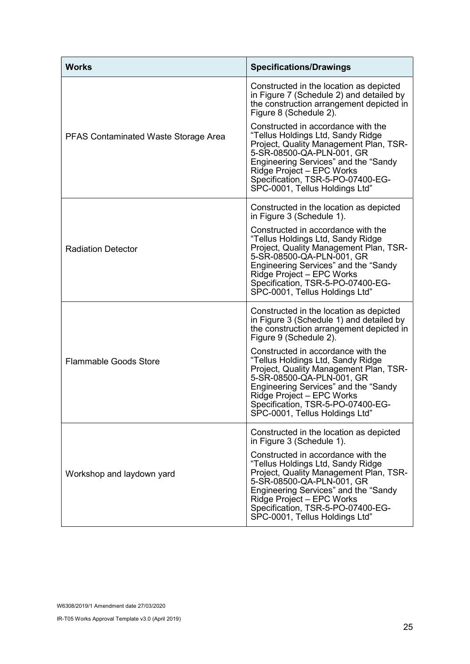| <b>Works</b>                                | <b>Specifications/Drawings</b>                                                                                                                                                                                                                                                             |
|---------------------------------------------|--------------------------------------------------------------------------------------------------------------------------------------------------------------------------------------------------------------------------------------------------------------------------------------------|
|                                             | Constructed in the location as depicted<br>in Figure 7 (Schedule 2) and detailed by<br>the construction arrangement depicted in<br>Figure 8 (Schedule 2).                                                                                                                                  |
| <b>PFAS Contaminated Waste Storage Area</b> | Constructed in accordance with the<br>"Tellus Holdings Ltd, Sandy Ridge<br>Project, Quality Management Plan, TSR-<br>5-SR-08500-QA-PLN-001, GR<br>Engineering Services" and the "Sandy<br>Ridge Project - EPC Works<br>Specification, TSR-5-PO-07400-EG-<br>SPC-0001, Tellus Holdings Ltd" |
|                                             | Constructed in the location as depicted<br>in Figure 3 (Schedule 1).                                                                                                                                                                                                                       |
| <b>Radiation Detector</b>                   | Constructed in accordance with the<br>"Tellus Holdings Ltd, Sandy Ridge<br>Project, Quality Management Plan, TSR-<br>5-SR-08500-QA-PLN-001, GR<br>Engineering Services" and the "Sandy<br>Ridge Project - EPC Works<br>Specification, TSR-5-PO-07400-EG-<br>SPC-0001, Tellus Holdings Ltd" |
| <b>Flammable Goods Store</b>                | Constructed in the location as depicted<br>in Figure 3 (Schedule 1) and detailed by<br>the construction arrangement depicted in<br>Figure 9 (Schedule 2).                                                                                                                                  |
|                                             | Constructed in accordance with the<br>"Tellus Holdings Ltd, Sandy Ridge<br>Project, Quality Management Plan, TSR-<br>5-SR-08500-QA-PLN-001, GR<br>Engineering Services" and the "Sandy<br>Ridge Project – EPC Works<br>Specification, TSR-5-PO-07400-EG-<br>SPC-0001, Tellus Holdings Ltd" |
|                                             | Constructed in the location as depicted<br>in Figure 3 (Schedule 1).                                                                                                                                                                                                                       |
| Workshop and laydown yard                   | Constructed in accordance with the<br>"Tellus Holdings Ltd, Sandy Ridge<br>Project, Quality Management Plan, TSR-<br>5-SR-08500-QA-PLN-001, GR<br>Engineering Services" and the "Sandy<br>Ridge Project - EPC Works<br>Specification, TSR-5-PO-07400-EG-<br>SPC-0001, Tellus Holdings Ltd" |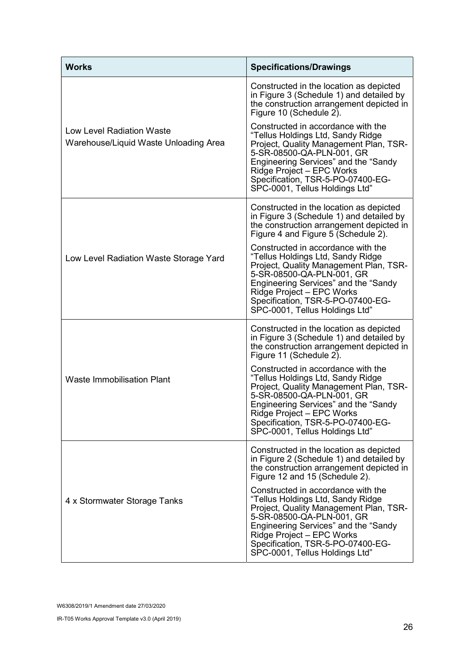| <b>Works</b>                                                       | <b>Specifications/Drawings</b>                                                                                                                                                                                                                                                             |
|--------------------------------------------------------------------|--------------------------------------------------------------------------------------------------------------------------------------------------------------------------------------------------------------------------------------------------------------------------------------------|
|                                                                    | Constructed in the location as depicted<br>in Figure 3 (Schedule 1) and detailed by<br>the construction arrangement depicted in<br>Figure 10 (Schedule 2).                                                                                                                                 |
| Low Level Radiation Waste<br>Warehouse/Liquid Waste Unloading Area | Constructed in accordance with the<br>"Tellus Holdings Ltd, Sandy Ridge<br>Project, Quality Management Plan, TSR-<br>5-SR-08500-QA-PLN-001, GR<br>Engineering Services" and the "Sandy<br>Ridge Project - EPC Works<br>Specification, TSR-5-PO-07400-EG-<br>SPC-0001, Tellus Holdings Ltd" |
| Low Level Radiation Waste Storage Yard                             | Constructed in the location as depicted<br>in Figure 3 (Schedule 1) and detailed by<br>the construction arrangement depicted in<br>Figure 4 and Figure 5 (Schedule 2).                                                                                                                     |
|                                                                    | Constructed in accordance with the<br>"Tellus Holdings Ltd, Sandy Ridge<br>Project, Quality Management Plan, TSR-<br>5-SR-08500-QA-PLN-001, GR<br>Engineering Services" and the "Sandy<br>Ridge Project - EPC Works<br>Specification, TSR-5-PO-07400-EG-<br>SPC-0001, Tellus Holdings Ltd" |
| <b>Waste Immobilisation Plant</b>                                  | Constructed in the location as depicted<br>in Figure 3 (Schedule 1) and detailed by<br>the construction arrangement depicted in<br>Figure 11 (Schedule 2).                                                                                                                                 |
|                                                                    | Constructed in accordance with the<br>"Tellus Holdings Ltd, Sandy Ridge<br>Project, Quality Management Plan, TSR-<br>5-SR-08500-QA-PLN-001, GR<br>Engineering Services" and the "Sandy<br>Ridge Project - EPC Works<br>Specification, TSR-5-PO-07400-EG-<br>SPC-0001, Tellus Holdings Ltd" |
|                                                                    | Constructed in the location as depicted<br>in Figure 2 (Schedule 1) and detailed by<br>the construction arrangement depicted in<br>Figure 12 and 15 (Schedule 2).                                                                                                                          |
| 4 x Stormwater Storage Tanks                                       | Constructed in accordance with the<br>"Tellus Holdings Ltd, Sandy Ridge<br>Project, Quality Management Plan, TSR-<br>5-SR-08500-QA-PLN-001, GR<br>Engineering Services" and the "Sandy<br>Ridge Project - EPC Works<br>Specification, TSR-5-PO-07400-EG-<br>SPC-0001, Tellus Holdings Ltd" |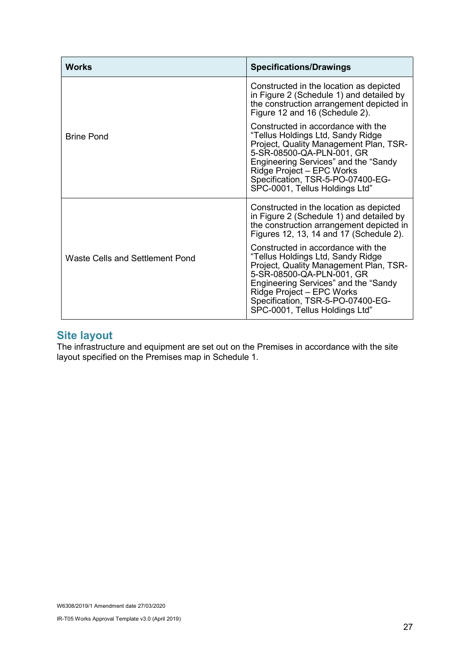| <b>Works</b>                    | <b>Specifications/Drawings</b>                                                                                                                                                                                                                                                             |
|---------------------------------|--------------------------------------------------------------------------------------------------------------------------------------------------------------------------------------------------------------------------------------------------------------------------------------------|
|                                 | Constructed in the location as depicted<br>in Figure 2 (Schedule 1) and detailed by<br>the construction arrangement depicted in<br>Figure 12 and 16 (Schedule 2).                                                                                                                          |
| <b>Brine Pond</b>               | Constructed in accordance with the<br>"Tellus Holdings Ltd, Sandy Ridge<br>Project, Quality Management Plan, TSR-<br>5-SR-08500-QA-PLN-001, GR<br>Engineering Services" and the "Sandy<br>Ridge Project - EPC Works<br>Specification, TSR-5-PO-07400-EG-<br>SPC-0001, Tellus Holdings Ltd" |
| Waste Cells and Settlement Pond | Constructed in the location as depicted<br>in Figure 2 (Schedule 1) and detailed by<br>the construction arrangement depicted in<br>Figures 12, 13, 14 and 17 (Schedule 2).                                                                                                                 |
|                                 | Constructed in accordance with the<br>"Tellus Holdings Ltd, Sandy Ridge<br>Project, Quality Management Plan, TSR-<br>5-SR-08500-QA-PLN-001, GR<br>Engineering Services" and the "Sandy<br>Ridge Project - EPC Works<br>Specification, TSR-5-PO-07400-EG-<br>SPC-0001, Tellus Holdings Ltd" |

### Site layout

The infrastructure and equipment are set out on the Premises in accordance with the site layout specified on the Premises map in Schedule 1.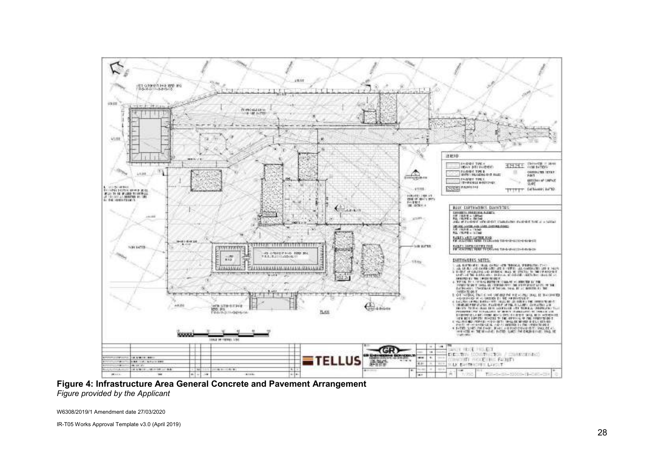

Figure 4: Infrastructure Area General Concrete and Pavement Arrangement Figure provided by the Applicant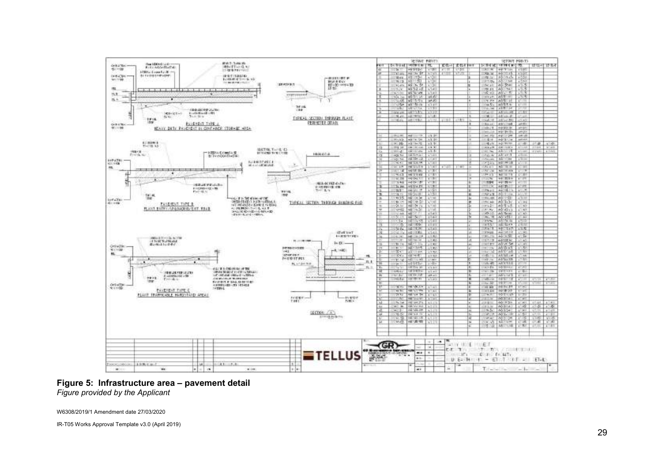

#### Figure 5: Infrastructure area – pavement detail Figure provided by the Applicant

W6308/2019/1 Amendment date 27/03/2020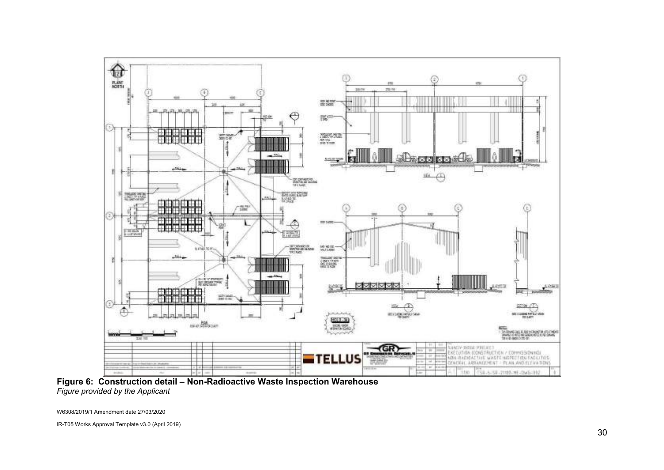

Figure 6: Construction detail – Non-Radioactive Waste Inspection Warehouse Figure provided by the Applicant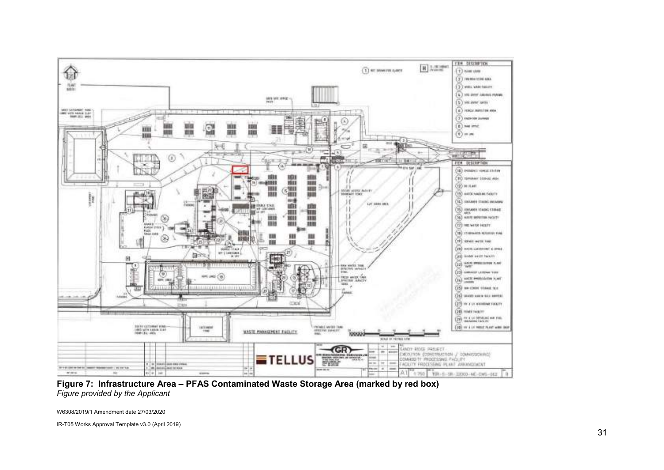

Figure 7: Infrastructure Area – PFAS Contaminated Waste Storage Area (marked by red box) Figure provided by the Applicant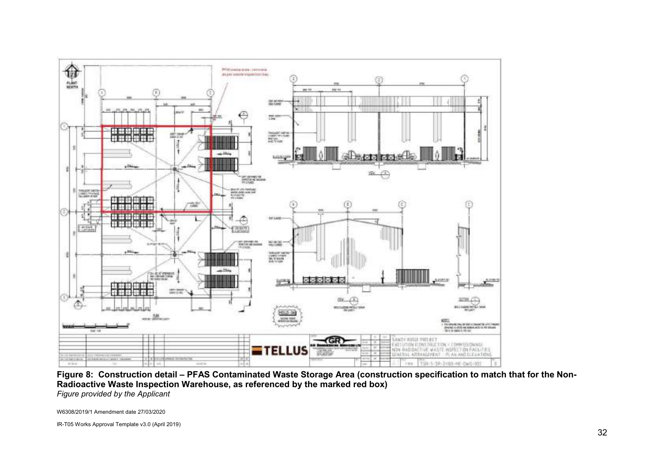

Figure 8: Construction detail – PFAS Contaminated Waste Storage Area (construction specification to match that for the Non-Radioactive Waste Inspection Warehouse, as referenced by the marked red box) Figure provided by the Applicant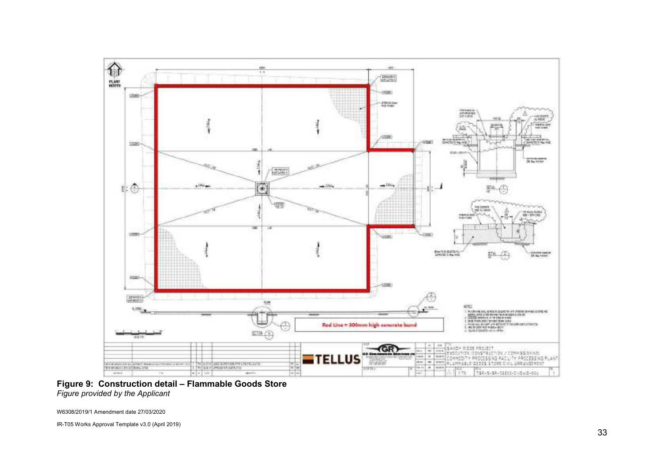

Figure 9: Construction detail – Flammable Goods Store Figure provided by the Applicant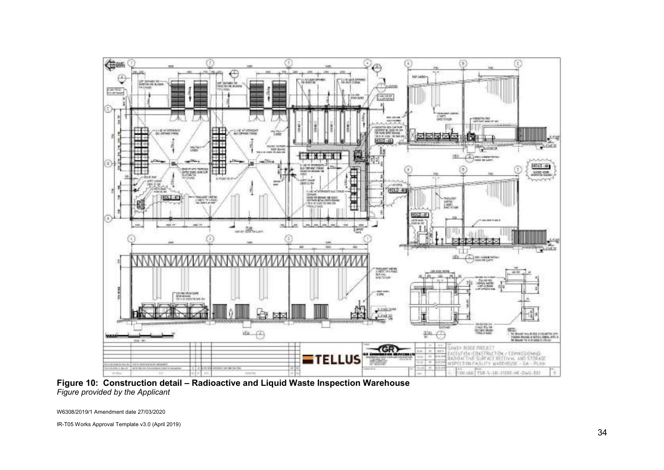

Figure 10: Construction detail – Radioactive and Liquid Waste Inspection Warehouse Figure provided by the Applicant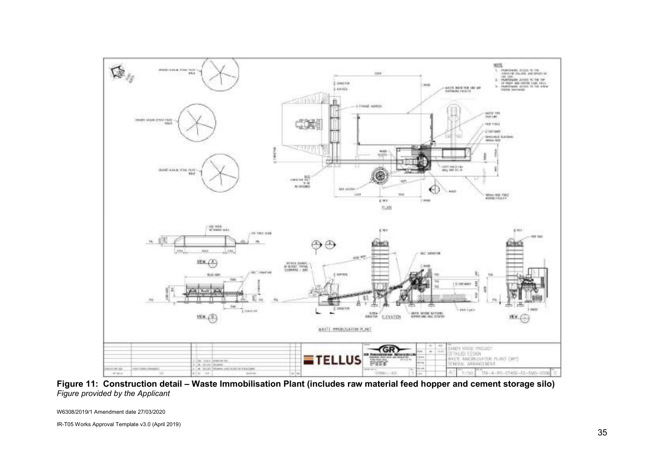

Figure 11: Construction detail – Waste Immobilisation Plant (includes raw material feed hopper and cement storage silo) Figure provided by the Applicant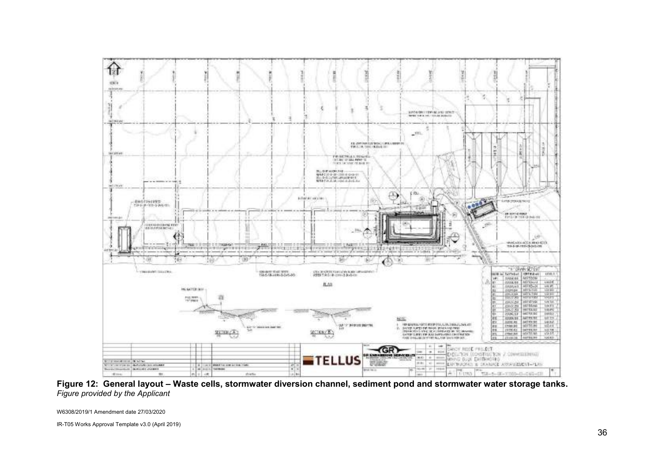

Figure 12: General layout – Waste cells, stormwater diversion channel, sediment pond and stormwater water storage tanks. Figure provided by the Applicant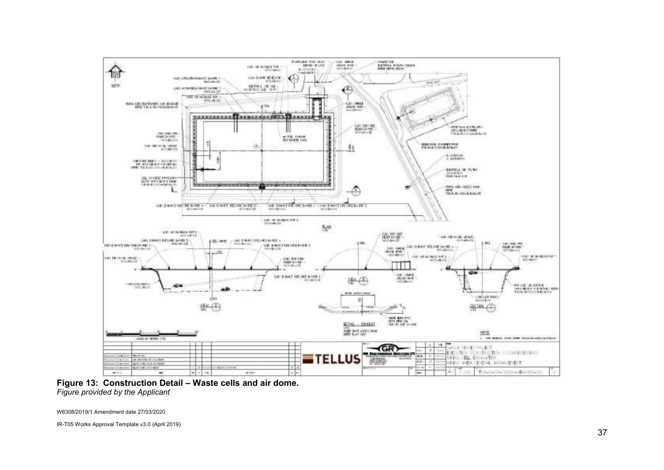

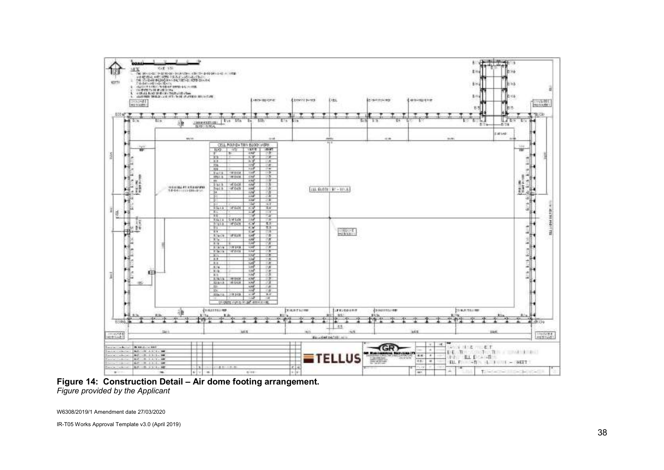

Figure 14: Construction Detail – Air dome footing arrangement. Figure provided by the Applicant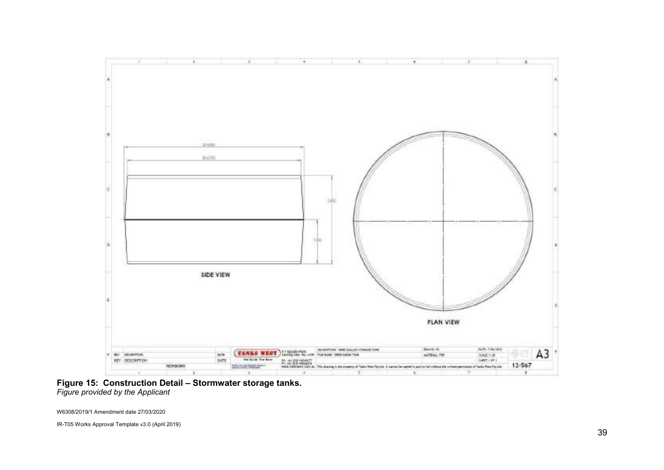

Figure 15: Construction Detail – Stormwater storage tanks. Figure provided by the Applicant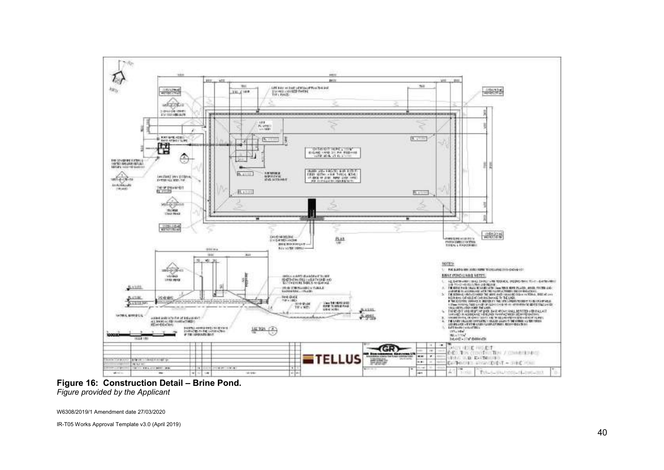

Figure 16: Construction Detail – Brine Pond. Figure provided by the Applicant